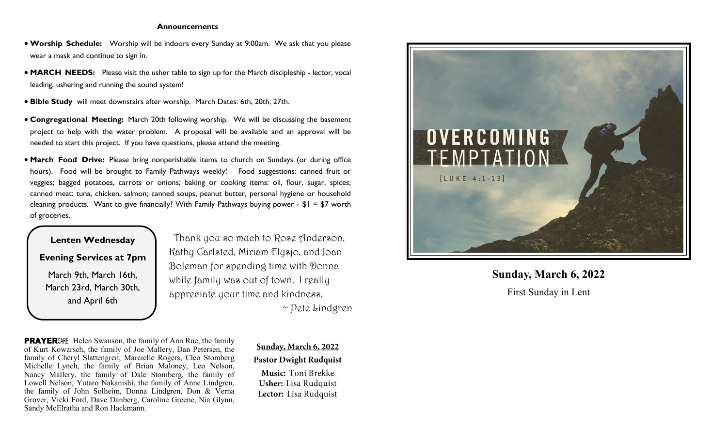#### **Announcements**

- **Worship Schedule:** Worship will be indoors every Sunday at 9:00am. We ask that you please wear a mask and continue to sign in.
- **MARCH NEEDS:** Please visit the usher table to sign up for the March discipleship lector, vocal leading, ushering and running the sound system!
- **Bible Study** will meet downstairs after worship. March Dates: 6th, 20th, 27th.
- **Congregational Meeting:** March 20th following worship. We will be discussing the basement project to help with the water problem. A proposal will be available and an approval will be needed to start this project. If you have questions, please attend the meeting.
- **March Food Drive:** Please bring nonperishable items to church on Sundays (or during office hours). Food will be brought to Family Pathways weekly! Food suggestions: canned fruit or veggies; bagged potatoes, carrots or onions; baking or cooking items: oil, flour, sugar, spices; canned meat: tuna, chicken, salmon; canned soups, peanut butter, personal hygiene or household cleaning products. Want to give financially? With Family Pathways buying power - \$1 = \$7 worth of groceries.

# **Lenten Wednesday Evening Services at 7pm** March 9th, March 16th, March 23rd, March 30th, and April 6th

 Thank you so much to Rose Anderson, Kathy Carlsted, Miriam Flysjo, and Joan Boleman for spending time with Donna while family was out of town. I really appreciate your time and kindness. ~ Pete Lindgren

**PRAYER**CARE Helen Swanson, the family of Ann Rue, the family of Kurt Kowarsch, the family of Joe Mallery, Dan Petersen, the family of Cheryl Slattengren, Marcielle Rogers, Cleo Stomberg Michelle Lynch, the family of Brian Maloney, Leo Nelson, Nancy Mallery, the family of Dale Stomberg, the family of Lowell Nelson, Yutaro Nakanishi, the family of Anne Lindgren, the family of John Solheim, Donna Lindgren, Don & Verna Grover, Vicki Ford, Dave Danberg, Caroline Greene, Nia Glynn, Sandy McElratha and Ron Hackmann.

Sunday, March 6, 2022 **Pastor Dwight Rudquist** Music: Toni Brekke **Usher:** Lisa Rudquist Lector: Lisa Rudquist



# **Sunday, March 6, 2022** First Sunday in Lent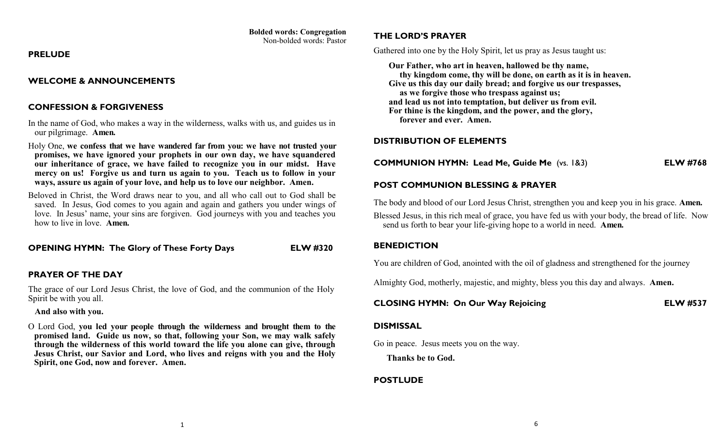# **Bolded words: Congregation**

Non-bolded words: Pastor

#### **PRELUDE**

## **WELCOME & ANNOUNCEMENTS**

# **CONFESSION & FORGIVENESS**

- In the name of God, who makes a way in the wilderness, walks with us, and guides us in our pilgrimage. **Amen.**
- Holy One, **we confess that we have wandered far from you: we have not trusted your promises, we have ignored your prophets in our own day, we have squandered our inheritance of grace, we have failed to recognize you in our midst. Have mercy on us! Forgive us and turn us again to you. Teach us to follow in your ways, assure us again of your love, and help us to love our neighbor. Amen.**
- Beloved in Christ, the Word draws near to you, and all who call out to God shall be saved. In Jesus, God comes to you again and again and gathers you under wings of love. In Jesus' name, your sins are forgiven. God journeys with you and teaches you how to live in love. **Amen.**

**OPENING HYMN: The Glory of These Forty Days ELW #320**

## **PRAYER OF THE DAY**

The grace of our Lord Jesus Christ, the love of God, and the communion of the Holy Spirit be with you all.

#### **And also with you.**

O Lord God, **you led your people through the wilderness and brought them to the promised land. Guide us now, so that, following your Son, we may walk safely through the wilderness of this world toward the life you alone can give, through Jesus Christ, our Savior and Lord, who lives and reigns with you and the Holy Spirit, one God, now and forever. Amen.**

## **THE LORD'S PRAYER**

Gathered into one by the Holy Spirit, let us pray as Jesus taught us:

 **Our Father, who art in heaven, hallowed be thy name, thy kingdom come, thy will be done, on earth as it is in heaven. Give us this day our daily bread; and forgive us our trespasses, as we forgive those who trespass against us; and lead us not into temptation, but deliver us from evil. For thine is the kingdom, and the power, and the glory, forever and ever. Amen.**

## **DISTRIBUTION OF ELEMENTS**

**COMMUNION HYMN: Lead Me, Guide Me** (vs. 1&3) **ELW #768**

# **POST COMMUNION BLESSING & PRAYER**

The body and blood of our Lord Jesus Christ, strengthen you and keep you in his grace. **Amen.**

Blessed Jesus, in this rich meal of grace, you have fed us with your body, the bread of life. Now send us forth to bear your life-giving hope to a world in need. **Amen.**

#### **BENEDICTION**

You are children of God, anointed with the oil of gladness and strengthened for the journey

Almighty God, motherly, majestic, and mighty, bless you this day and always. **Amen.**

# **CLOSING HYMN: On Our Way Rejoicing ELW #537**

#### **DISMISSAL**

Go in peace. Jesus meets you on the way.

 **Thanks be to God.** 

## **POSTLUDE**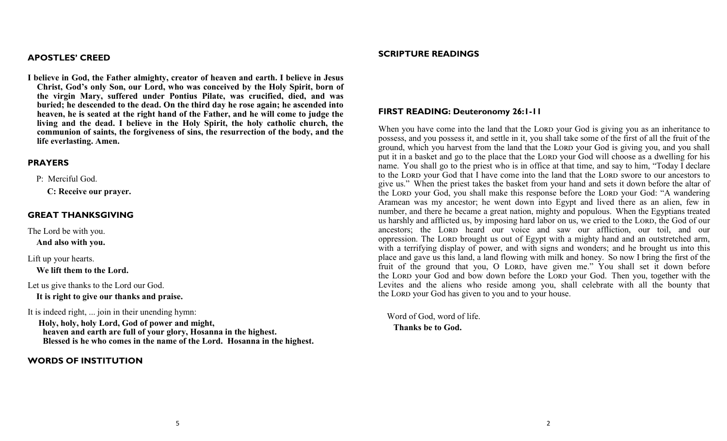#### **APOSTLES' CREED**

**I believe in God, the Father almighty, creator of heaven and earth. I believe in Jesus Christ, God's only Son, our Lord, who was conceived by the Holy Spirit, born of the virgin Mary, suffered under Pontius Pilate, was crucified, died, and was buried; he descended to the dead. On the third day he rose again; he ascended into heaven, he is seated at the right hand of the Father, and he will come to judge the living and the dead. I believe in the Holy Spirit, the holy catholic church, the communion of saints, the forgiveness of sins, the resurrection of the body, and the life everlasting. Amen.**

#### **PRAYERS**

P: Merciful God.

 **C: Receive our prayer.**

#### **GREAT THANKSGIVING**

The Lord be with you.

 **And also with you.**

Lift up your hearts.

 **We lift them to the Lord.**

Let us give thanks to the Lord our God.  **It is right to give our thanks and praise.**

It is indeed right, ... join in their unending hymn:

 **Holy, holy, holy Lord, God of power and might, heaven and earth are full of your glory, Hosanna in the highest. Blessed is he who comes in the name of the Lord. Hosanna in the highest.**

#### **WORDS OF INSTITUTION**

#### **SCRIPTURE READINGS**

#### **FIRST READING: Deuteronomy 26:1-11**

When you have come into the land that the LORD your God is giving you as an inheritance to possess, and you possess it, and settle in it, you shall take some of the first of all the fruit of the ground, which you harvest from the land that the LORD your God is giving you, and you shall put it in a basket and go to the place that the LORD your God will choose as a dwelling for his name. You shall go to the priest who is in office at that time, and say to him, "Today I declare to the LORD your God that I have come into the land that the LORD swore to our ancestors to give us." When the priest takes the basket from your hand and sets it down before the altar of the Lord your God, you shall make this response before the Lord your God: "A wandering Aramean was my ancestor; he went down into Egypt and lived there as an alien, few in number, and there he became a great nation, mighty and populous. When the Egyptians treated us harshly and afflicted us, by imposing hard labor on us, we cried to the LORD, the God of our ancestors; the Lord heard our voice and saw our affliction, our toil, and our oppression. The Lord brought us out of Egypt with a mighty hand and an outstretched arm, with a terrifying display of power, and with signs and wonders; and he brought us into this place and gave us this land, a land flowing with milk and honey. So now I bring the first of the fruit of the ground that you, O LORD, have given me." You shall set it down before the LORD your God and bow down before the LORD your God. Then you, together with the Levites and the aliens who reside among you, shall celebrate with all the bounty that the Lord your God has given to you and to your house.

 Word of God, word of life.  **Thanks be to God.**